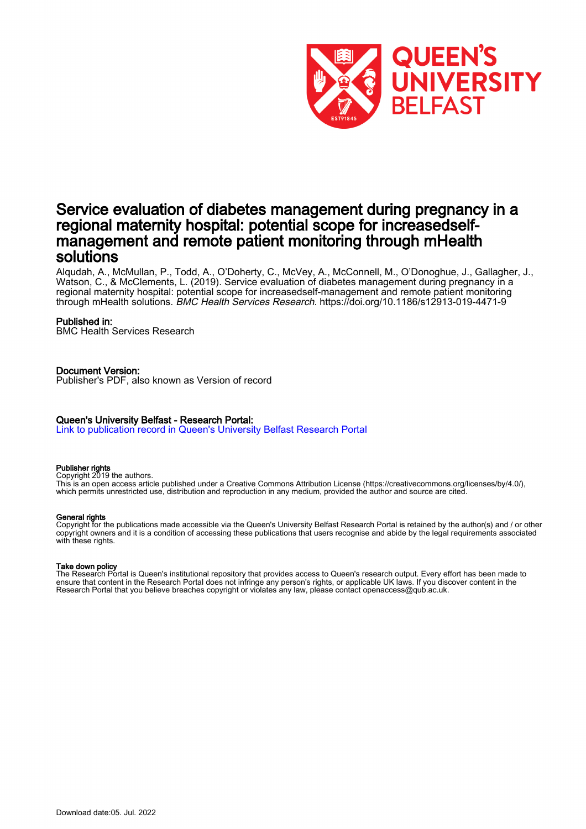

# Service evaluation of diabetes management during pregnancy in a regional maternity hospital: potential scope for increasedselfmanagement and remote patient monitoring through mHealth solutions

Alqudah, A., McMullan, P., Todd, A., O'Doherty, C., McVey, A., McConnell, M., O'Donoghue, J., Gallagher, J., Watson, C., & McClements, L. (2019). Service evaluation of diabetes management during pregnancy in a regional maternity hospital: potential scope for increasedself-management and remote patient monitoring through mHealth solutions. BMC Health Services Research. <https://doi.org/10.1186/s12913-019-4471-9>

# Published in:

BMC Health Services Research

# Document Version:

Publisher's PDF, also known as Version of record

# Queen's University Belfast - Research Portal:

[Link to publication record in Queen's University Belfast Research Portal](https://pure.qub.ac.uk/en/publications/fde36587-7164-40d3-b922-3881d7431f70)

## Publisher rights

Copyright 2019 the authors.

This is an open access article published under a Creative Commons Attribution License (https://creativecommons.org/licenses/by/4.0/), which permits unrestricted use, distribution and reproduction in any medium, provided the author and source are cited.

## General rights

Copyright for the publications made accessible via the Queen's University Belfast Research Portal is retained by the author(s) and / or other copyright owners and it is a condition of accessing these publications that users recognise and abide by the legal requirements associated with these rights.

## Take down policy

The Research Portal is Queen's institutional repository that provides access to Queen's research output. Every effort has been made to ensure that content in the Research Portal does not infringe any person's rights, or applicable UK laws. If you discover content in the Research Portal that you believe breaches copyright or violates any law, please contact openaccess@qub.ac.uk.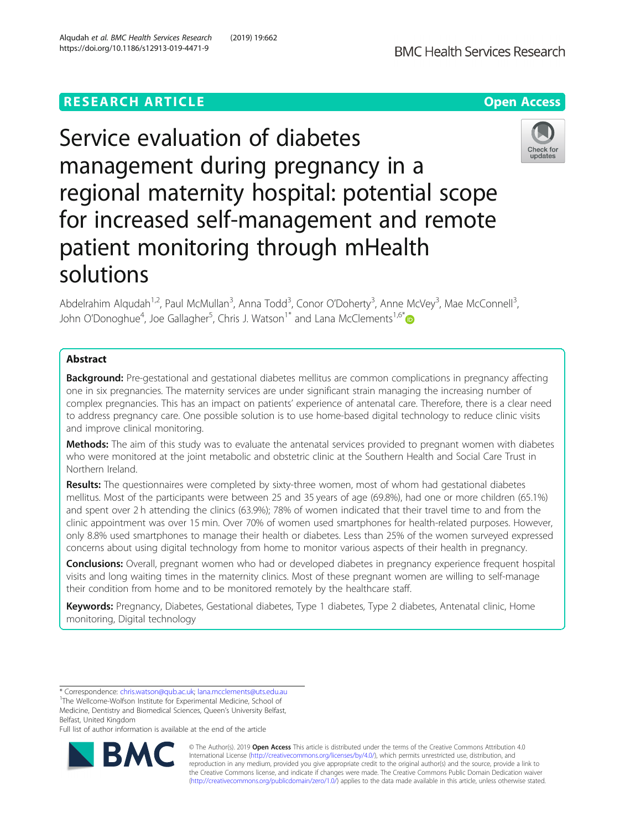# **RESEARCH ARTICLE Example 2014 12:30 The Contract of Contract ACCESS**



Check for update:



Abdelrahim Alqudah<sup>1,2</sup>, Paul McMullan<sup>3</sup>, Anna Todd<sup>3</sup>, Conor O'Doherty<sup>3</sup>, Anne McVey<sup>3</sup>, Mae McConnell<sup>3</sup> , John O'Donoghue<sup>4</sup>, Joe Gallagher<sup>5</sup>, Chris J. Watson<sup>1[\\*](http://orcid.org/0000-0002-4911-1014)</sup> and Lana McClements<sup>1,6\*</sup>

# Abstract

**Background:** Pre-gestational and gestational diabetes mellitus are common complications in pregnancy affecting one in six pregnancies. The maternity services are under significant strain managing the increasing number of complex pregnancies. This has an impact on patients' experience of antenatal care. Therefore, there is a clear need to address pregnancy care. One possible solution is to use home-based digital technology to reduce clinic visits and improve clinical monitoring.

Methods: The aim of this study was to evaluate the antenatal services provided to pregnant women with diabetes who were monitored at the joint metabolic and obstetric clinic at the Southern Health and Social Care Trust in Northern Ireland.

Results: The questionnaires were completed by sixty-three women, most of whom had gestational diabetes mellitus. Most of the participants were between 25 and 35 years of age (69.8%), had one or more children (65.1%) and spent over 2 h attending the clinics (63.9%); 78% of women indicated that their travel time to and from the clinic appointment was over 15 min. Over 70% of women used smartphones for health-related purposes. However, only 8.8% used smartphones to manage their health or diabetes. Less than 25% of the women surveyed expressed concerns about using digital technology from home to monitor various aspects of their health in pregnancy.

**Conclusions:** Overall, pregnant women who had or developed diabetes in pregnancy experience frequent hospital visits and long waiting times in the maternity clinics. Most of these pregnant women are willing to self-manage their condition from home and to be monitored remotely by the healthcare staff.

Keywords: Pregnancy, Diabetes, Gestational diabetes, Type 1 diabetes, Type 2 diabetes, Antenatal clinic, Home monitoring, Digital technology

<sup>1</sup>The Wellcome-Wolfson Institute for Experimental Medicine, School of Medicine, Dentistry and Biomedical Sciences, Queen's University Belfast,

Belfast, United Kingdom

Full list of author information is available at the end of the article



© The Author(s). 2019 Open Access This article is distributed under the terms of the Creative Commons Attribution 4.0 International License [\(http://creativecommons.org/licenses/by/4.0/](http://creativecommons.org/licenses/by/4.0/)), which permits unrestricted use, distribution, and reproduction in any medium, provided you give appropriate credit to the original author(s) and the source, provide a link to the Creative Commons license, and indicate if changes were made. The Creative Commons Public Domain Dedication waiver [\(http://creativecommons.org/publicdomain/zero/1.0/](http://creativecommons.org/publicdomain/zero/1.0/)) applies to the data made available in this article, unless otherwise stated.

<sup>\*</sup> Correspondence: [chris.watson@qub.ac.uk;](mailto:chris.watson@qub.ac.uk) [lana.mcclements@uts.edu.au](mailto:lana.mcclements@uts.edu.au) <sup>1</sup>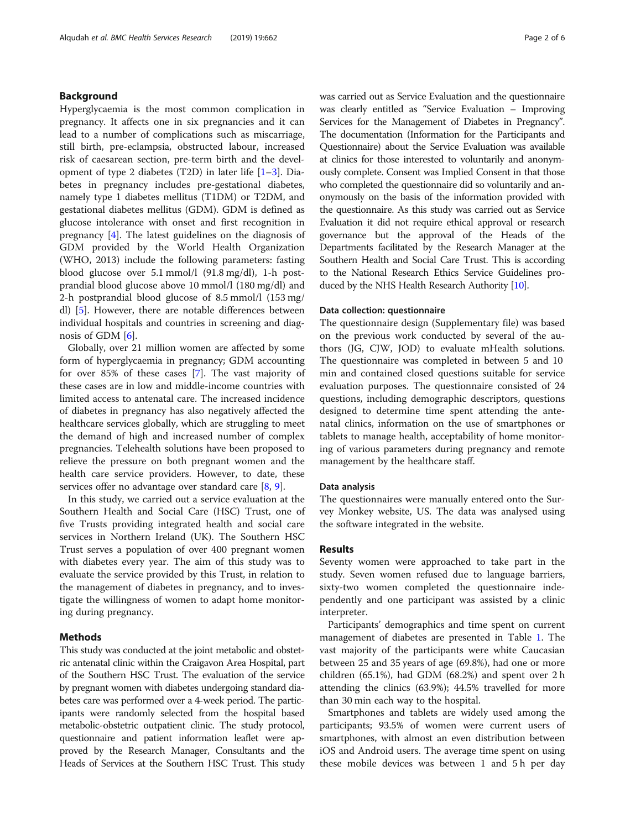## Background

Hyperglycaemia is the most common complication in pregnancy. It affects one in six pregnancies and it can lead to a number of complications such as miscarriage, still birth, pre-eclampsia, obstructed labour, increased risk of caesarean section, pre-term birth and the development of type 2 diabetes (T2D) in later life  $[1-3]$  $[1-3]$  $[1-3]$  $[1-3]$ . Diabetes in pregnancy includes pre-gestational diabetes, namely type 1 diabetes mellitus (T1DM) or T2DM, and gestational diabetes mellitus (GDM). GDM is defined as glucose intolerance with onset and first recognition in pregnancy [[4\]](#page-5-0). The latest guidelines on the diagnosis of GDM provided by the World Health Organization (WHO, 2013) include the following parameters: fasting blood glucose over 5.1 mmol/l (91.8 mg/dl), 1-h postprandial blood glucose above 10 mmol/l (180 mg/dl) and 2-h postprandial blood glucose of 8.5 mmol/l (153 mg/ dl) [[5\]](#page-5-0). However, there are notable differences between individual hospitals and countries in screening and diagnosis of GDM [[6\]](#page-5-0).

Globally, over 21 million women are affected by some form of hyperglycaemia in pregnancy; GDM accounting for over 85% of these cases [\[7\]](#page-5-0). The vast majority of these cases are in low and middle-income countries with limited access to antenatal care. The increased incidence of diabetes in pregnancy has also negatively affected the healthcare services globally, which are struggling to meet the demand of high and increased number of complex pregnancies. Telehealth solutions have been proposed to relieve the pressure on both pregnant women and the health care service providers. However, to date, these services offer no advantage over standard care [[8,](#page-5-0) [9\]](#page-5-0).

In this study, we carried out a service evaluation at the Southern Health and Social Care (HSC) Trust, one of five Trusts providing integrated health and social care services in Northern Ireland (UK). The Southern HSC Trust serves a population of over 400 pregnant women with diabetes every year. The aim of this study was to evaluate the service provided by this Trust, in relation to the management of diabetes in pregnancy, and to investigate the willingness of women to adapt home monitoring during pregnancy.

## Methods

This study was conducted at the joint metabolic and obstetric antenatal clinic within the Craigavon Area Hospital, part of the Southern HSC Trust. The evaluation of the service by pregnant women with diabetes undergoing standard diabetes care was performed over a 4-week period. The participants were randomly selected from the hospital based metabolic-obstetric outpatient clinic. The study protocol, questionnaire and patient information leaflet were approved by the Research Manager, Consultants and the Heads of Services at the Southern HSC Trust. This study was carried out as Service Evaluation and the questionnaire was clearly entitled as "Service Evaluation – Improving Services for the Management of Diabetes in Pregnancy". The documentation (Information for the Participants and Questionnaire) about the Service Evaluation was available at clinics for those interested to voluntarily and anonymously complete. Consent was Implied Consent in that those who completed the questionnaire did so voluntarily and anonymously on the basis of the information provided with the questionnaire. As this study was carried out as Service Evaluation it did not require ethical approval or research governance but the approval of the Heads of the Departments facilitated by the Research Manager at the Southern Health and Social Care Trust. This is according to the National Research Ethics Service Guidelines produced by the NHS Health Research Authority [\[10](#page-5-0)].

#### Data collection: questionnaire

The questionnaire design (Supplementary file) was based on the previous work conducted by several of the authors (JG, CJW, JOD) to evaluate mHealth solutions. The questionnaire was completed in between 5 and 10 min and contained closed questions suitable for service evaluation purposes. The questionnaire consisted of 24 questions, including demographic descriptors, questions designed to determine time spent attending the antenatal clinics, information on the use of smartphones or tablets to manage health, acceptability of home monitoring of various parameters during pregnancy and remote management by the healthcare staff.

### Data analysis

The questionnaires were manually entered onto the Survey Monkey website, US. The data was analysed using the software integrated in the website.

### Results

Seventy women were approached to take part in the study. Seven women refused due to language barriers, sixty-two women completed the questionnaire independently and one participant was assisted by a clinic interpreter.

Participants' demographics and time spent on current management of diabetes are presented in Table [1.](#page-3-0) The vast majority of the participants were white Caucasian between 25 and 35 years of age (69.8%), had one or more children (65.1%), had GDM (68.2%) and spent over 2 h attending the clinics (63.9%); 44.5% travelled for more than 30 min each way to the hospital.

Smartphones and tablets are widely used among the participants; 93.5% of women were current users of smartphones, with almost an even distribution between iOS and Android users. The average time spent on using these mobile devices was between 1 and 5 h per day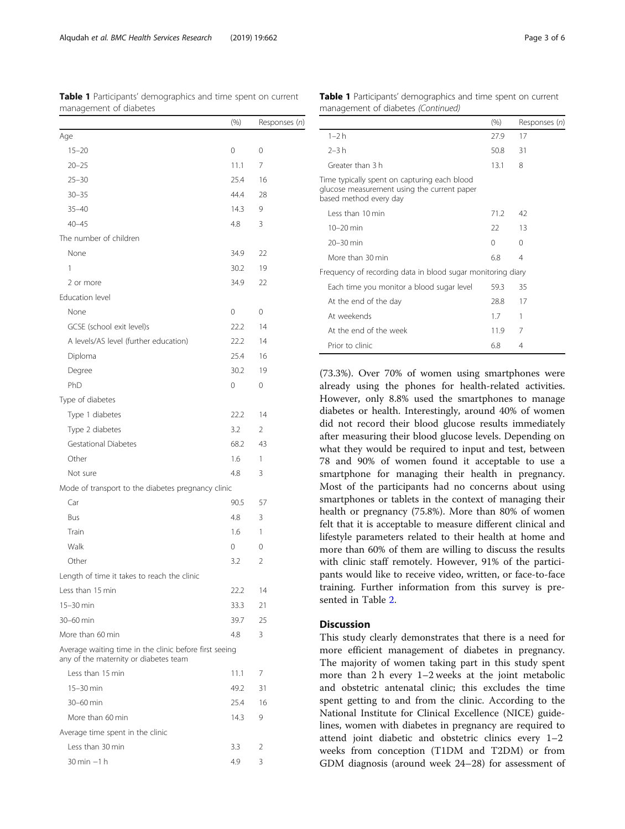(73.3%). Over 70% of women using smartphones were already using the phones for health-related activities. However, only 8.8% used the smartphones to manage diabetes or health. Interestingly, around 40% of women did not record their blood glucose results immediately after measuring their blood glucose levels. Depending on what they would be required to input and test, between 78 and 90% of women found it acceptable to use a smartphone for managing their health in pregnancy. Most of the participants had no concerns about using smartphones or tablets in the context of managing their health or pregnancy (75.8%). More than 80% of women felt that it is acceptable to measure different clinical and lifestyle parameters related to their health at home and more than 60% of them are willing to discuss the results with clinic staff remotely. However, 91% of the participants would like to receive video, written, or face-to-face training. Further information from this survey is presented in Table [2.](#page-4-0)

# **Discussion**

This study clearly demonstrates that there is a need for more efficient management of diabetes in pregnancy. The majority of women taking part in this study spent more than 2 h every 1–2 weeks at the joint metabolic and obstetric antenatal clinic; this excludes the time spent getting to and from the clinic. According to the National Institute for Clinical Excellence (NICE) guidelines, women with diabetes in pregnancy are required to attend joint diabetic and obstetric clinics every 1–2 weeks from conception (T1DM and T2DM) or from GDM diagnosis (around week 24–28) for assessment of

management of diabetes (%) Responses (n) Age 15–20 0 0 20–25 11.1 7 25–30 25.4 16 30–35 44.4 28 35–40 14.3 9 40–45 4.8 3 The number of children None 34.9 22 1 30.2 19 2 or more 34.9 22 Education level None 0 0 GCSE (school exit level)s 22.2 14 A levels/AS level (further education) 22.2 14 Diploma 25.4 16 Degree 30.2 19 PhD 0 0 0 Type of diabetes Type 1 diabetes 22.2 14 Type 2 diabetes 3.2 2 Gestational Diabetes 68.2 43 Other 1.6 1 Not sure 3 Mode of transport to the diabetes pregnancy clinic Car 90.5 57 Bus 4.8 3 Train 1.6 1 Walk 0 0 Other 2012 2013 2014 2014 2022 2023 Length of time it takes to reach the clinic Less than 15 min 22.2 14 15–30 min 33.3 21 30–60 min 39.7 25 More than 60 min 4.8 3 Average waiting time in the clinic before first seeing any of the maternity or diabetes team Less than  $15 \text{ min}$  11.1  $7 \text{ min}$ 

Table 1 Participants' demographics and time spent on current management of diabetes (Continued)

1–2 h 27.9 17 2–3 h 50.8 31 Greater than 3 h 13.1 8

Less than 10 min 71.2 42 10–20 min 22 13 20–30 min 0 0 0 More than 30 min 6.8 4 Frequency of recording data in blood sugar monitoring diary Each time you monitor a blood sugar level 59.3 35 At the end of the day 28.8 17 At weekends 1.7 1 At the end of the week 11.9 7 Prior to clinic 6.8 4

Time typically spent on capturing each blood glucose measurement using the current paper

based method every day

<span id="page-3-0"></span>

| Alqudah et al. BMC Health Services Research | (2019) 19:662 |  |
|---------------------------------------------|---------------|--|
|                                             |               |  |

| $25 - 30$                                                                                       | 25.4     | 16 |
|-------------------------------------------------------------------------------------------------|----------|----|
| $30 - 35$                                                                                       | 44.4     | 28 |
| $35 - 40$                                                                                       | 14.3     | 9  |
| $40 - 45$                                                                                       | 4.8      | 3  |
| The number of children                                                                          |          |    |
| None                                                                                            | 34.9     | 22 |
| 1                                                                                               | 30.2     | 19 |
| 2 or more                                                                                       | 34.9     | 22 |
| Education level                                                                                 |          |    |
| None                                                                                            | 0        | 0  |
| GCSE (school exit level)s                                                                       | 22.2     | 14 |
| A levels/AS level (further education)                                                           | 22.2     | 14 |
| Diploma                                                                                         | 25.4     | 16 |
| Degree                                                                                          | 30.2     | 19 |
| PhD                                                                                             | $\Omega$ | 0  |
| Type of diabetes                                                                                |          |    |
| Type 1 diabetes                                                                                 | 22.2     | 14 |
| Type 2 diabetes                                                                                 | 3.2      | 2  |
| <b>Gestational Diabetes</b>                                                                     | 68.2     | 43 |
| Other                                                                                           | 1.6      | 1  |
| Not sure                                                                                        | 4.8      | 3  |
| Mode of transport to the diabetes pregnancy clinic                                              |          |    |
| Car                                                                                             | 90.5     | 57 |
| Bus                                                                                             | 4.8      | 3  |
| Train                                                                                           | 1.6      | 1  |
| Walk                                                                                            | 0        | 0  |
| Other                                                                                           | 3.2      | 2  |
| Length of time it takes to reach the clinic                                                     |          |    |
| Less than 15 min                                                                                | 22.2     | 14 |
| $15-30$ min                                                                                     | 33.3     | 21 |
| 30-60 min                                                                                       | 39.7     | 25 |
| More than 60 min                                                                                | 4.8      | 3  |
| Average waiting time in the clinic before first seeing<br>any of the maternity or diabetes team |          |    |
| Less than 15 min                                                                                | 11.1     | 7  |
| $15 - 30$ min                                                                                   | 49.2     | 31 |
| 30-60 min                                                                                       | 25.4     | 16 |
| More than 60 min                                                                                | 14.3     | 9  |
| Average time spent in the clinic                                                                |          |    |
| Less than 30 min                                                                                | 3.3      | 2  |
| $30 \text{ min} -1 \text{ h}$                                                                   | 4.9      | 3  |

| Page 3 of 6 |  |  |  |
|-------------|--|--|--|
|-------------|--|--|--|

(%) Responses (n)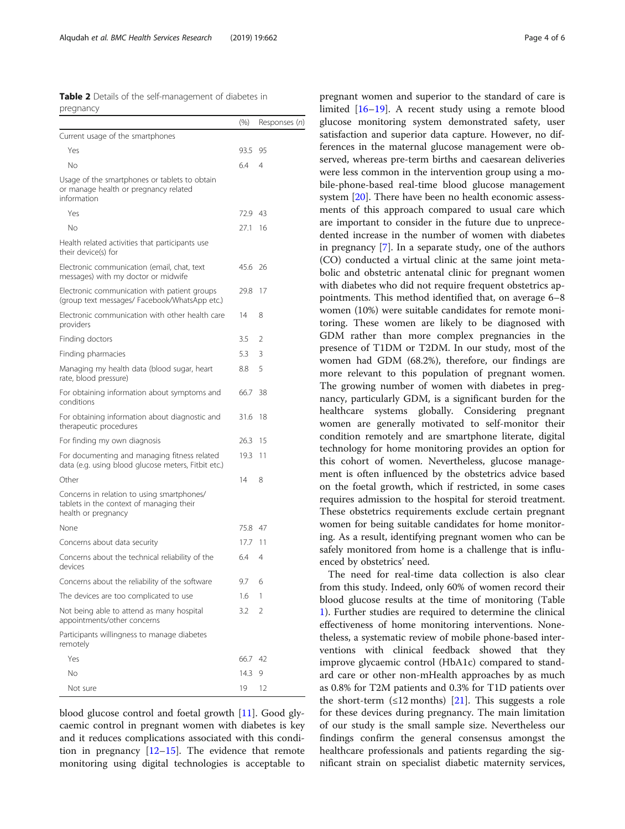<span id="page-4-0"></span>Table 2 Details of the self-management of diabetes in pregnancy

|                                                                                                               | $(\% )$ | Responses (n)  |
|---------------------------------------------------------------------------------------------------------------|---------|----------------|
| Current usage of the smartphones                                                                              |         |                |
| Yes                                                                                                           | 93.5    | 95             |
| Νo                                                                                                            | 6.4     | $\overline{4}$ |
| Usage of the smartphones or tablets to obtain<br>or manage health or pregnancy related<br>information         |         |                |
| Yes                                                                                                           | 72.9    | 43             |
| Νo                                                                                                            | 27.1    | 16             |
| Health related activities that participants use<br>their device(s) for                                        |         |                |
| Electronic communication (email, chat, text<br>messages) with my doctor or midwife                            | 45.6    | -26            |
| Electronic communication with patient groups<br>(group text messages/ Facebook/WhatsApp etc.)                 | 29.8    | 17             |
| Electronic communication with other health care<br>providers                                                  | 14      | 8              |
| Finding doctors                                                                                               | 3.5     | 2              |
| Finding pharmacies                                                                                            | 5.3     | 3              |
| Managing my health data (blood sugar, heart<br>rate, blood pressure)                                          | 8.8     | 5              |
| For obtaining information about symptoms and<br>conditions                                                    | 66.7    | 38             |
| For obtaining information about diagnostic and<br>therapeutic procedures                                      | 31.6    | 18             |
| For finding my own diagnosis                                                                                  | 26.3    | 15             |
| For documenting and managing fitness related<br>data (e.g. using blood glucose meters, Fitbit etc.)           | 19.3    | 11             |
| Other                                                                                                         | 14      | 8              |
| Concerns in relation to using smartphones/<br>tablets in the context of managing their<br>health or pregnancy |         |                |
| None                                                                                                          | 75.8    | 47             |
| Concerns about data security                                                                                  | 17.7    | 11             |
| Concerns about the technical reliability of the<br>devices                                                    | 6.4     | 4              |
| Concerns about the reliability of the software                                                                | 9.7     | 6              |
| The devices are too complicated to use                                                                        | 1.6     | 1              |
| Not being able to attend as many hospital<br>appointments/other concerns                                      | 3.2     | 2              |
| Participants willingness to manage diabetes<br>remotely                                                       |         |                |
| Yes                                                                                                           | 66.7    | 42             |
| Νo                                                                                                            | 14.3    | 9              |
| Not sure                                                                                                      | 19      | 12             |

blood glucose control and foetal growth [\[11](#page-5-0)]. Good glycaemic control in pregnant women with diabetes is key and it reduces complications associated with this condition in pregnancy [[12](#page-5-0)–[15\]](#page-6-0). The evidence that remote monitoring using digital technologies is acceptable to pregnant women and superior to the standard of care is limited [\[16](#page-6-0)–[19\]](#page-6-0). A recent study using a remote blood glucose monitoring system demonstrated safety, user satisfaction and superior data capture. However, no differences in the maternal glucose management were observed, whereas pre-term births and caesarean deliveries were less common in the intervention group using a mobile-phone-based real-time blood glucose management system [\[20](#page-6-0)]. There have been no health economic assessments of this approach compared to usual care which are important to consider in the future due to unprecedented increase in the number of women with diabetes in pregnancy [[7](#page-5-0)]. In a separate study, one of the authors (CO) conducted a virtual clinic at the same joint metabolic and obstetric antenatal clinic for pregnant women with diabetes who did not require frequent obstetrics appointments. This method identified that, on average 6–8 women (10%) were suitable candidates for remote monitoring. These women are likely to be diagnosed with GDM rather than more complex pregnancies in the presence of T1DM or T2DM. In our study, most of the women had GDM (68.2%), therefore, our findings are more relevant to this population of pregnant women. The growing number of women with diabetes in pregnancy, particularly GDM, is a significant burden for the healthcare systems globally. Considering pregnant women are generally motivated to self-monitor their condition remotely and are smartphone literate, digital technology for home monitoring provides an option for this cohort of women. Nevertheless, glucose management is often influenced by the obstetrics advice based on the foetal growth, which if restricted, in some cases requires admission to the hospital for steroid treatment. These obstetrics requirements exclude certain pregnant women for being suitable candidates for home monitoring. As a result, identifying pregnant women who can be safely monitored from home is a challenge that is influenced by obstetrics' need.

The need for real-time data collection is also clear from this study. Indeed, only 60% of women record their blood glucose results at the time of monitoring (Table [1\)](#page-3-0). Further studies are required to determine the clinical effectiveness of home monitoring interventions. Nonetheless, a systematic review of mobile phone-based interventions with clinical feedback showed that they improve glycaemic control (HbA1c) compared to standard care or other non-mHealth approaches by as much as 0.8% for T2M patients and 0.3% for T1D patients over the short-term  $(\leq 12 \text{ months})$  [\[21\]](#page-6-0). This suggests a role for these devices during pregnancy. The main limitation of our study is the small sample size. Nevertheless our findings confirm the general consensus amongst the healthcare professionals and patients regarding the significant strain on specialist diabetic maternity services,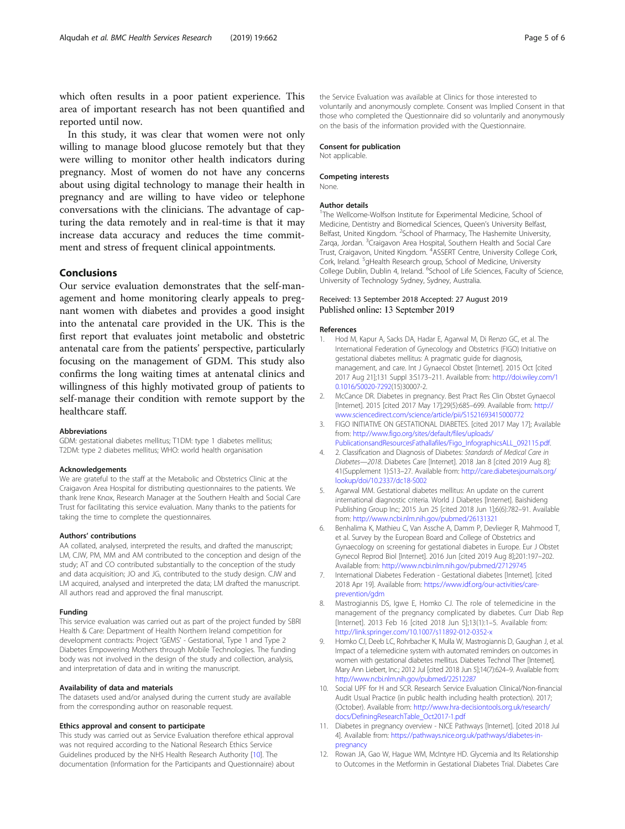<span id="page-5-0"></span>which often results in a poor patient experience. This area of important research has not been quantified and reported until now.

In this study, it was clear that women were not only willing to manage blood glucose remotely but that they were willing to monitor other health indicators during pregnancy. Most of women do not have any concerns about using digital technology to manage their health in pregnancy and are willing to have video or telephone conversations with the clinicians. The advantage of capturing the data remotely and in real-time is that it may increase data accuracy and reduces the time commitment and stress of frequent clinical appointments.

## Conclusions

Our service evaluation demonstrates that the self-management and home monitoring clearly appeals to pregnant women with diabetes and provides a good insight into the antenatal care provided in the UK. This is the first report that evaluates joint metabolic and obstetric antenatal care from the patients' perspective, particularly focusing on the management of GDM. This study also confirms the long waiting times at antenatal clinics and willingness of this highly motivated group of patients to self-manage their condition with remote support by the healthcare staff.

#### Abbreviations

GDM: gestational diabetes mellitus; T1DM: type 1 diabetes mellitus; T2DM: type 2 diabetes mellitus; WHO: world health organisation

#### Acknowledgements

We are grateful to the staff at the Metabolic and Obstetrics Clinic at the Craigavon Area Hospital for distributing questionnaires to the patients. We thank Irene Knox, Research Manager at the Southern Health and Social Care Trust for facilitating this service evaluation. Many thanks to the patients for taking the time to complete the questionnaires.

### Authors' contributions

AA collated, analysed, interpreted the results, and drafted the manuscript; LM, CJW, PM, MM and AM contributed to the conception and design of the study; AT and CO contributed substantially to the conception of the study and data acquisition; JO and JG, contributed to the study design. CJW and LM acquired, analysed and interpreted the data; LM drafted the manuscript. All authors read and approved the final manuscript.

#### Funding

This service evaluation was carried out as part of the project funded by SBRI Health & Care: Department of Health Northern Ireland competition for development contracts: Project 'GEMS' - Gestational, Type 1 and Type 2 Diabetes Empowering Mothers through Mobile Technologies. The funding body was not involved in the design of the study and collection, analysis, and interpretation of data and in writing the manuscript.

#### Availability of data and materials

The datasets used and/or analysed during the current study are available from the corresponding author on reasonable request.

#### Ethics approval and consent to participate

This study was carried out as Service Evaluation therefore ethical approval was not required according to the National Research Ethics Service Guidelines produced by the NHS Health Research Authority [10]. The documentation (Information for the Participants and Questionnaire) about the Service Evaluation was available at Clinics for those interested to voluntarily and anonymously complete. Consent was Implied Consent in that those who completed the Questionnaire did so voluntarily and anonymously on the basis of the information provided with the Questionnaire.

#### Consent for publication

Not applicable.

## Competing interests

#### Author details

None.

<sup>1</sup>The Wellcome-Wolfson Institute for Experimental Medicine, School of Medicine, Dentistry and Biomedical Sciences, Queen's University Belfast, Belfast, United Kingdom. <sup>2</sup>School of Pharmacy, The Hashemite University Zarqa, Jordan. <sup>3</sup>Craigavon Area Hospital, Southern Health and Social Care Trust, Craigavon, United Kingdom. <sup>4</sup>ASSERT Centre, University College Cork Cork, Ireland. <sup>5</sup>gHealth Research group, School of Medicine, University College Dublin, Dublin 4, Ireland. <sup>6</sup>School of Life Sciences, Faculty of Science, University of Technology Sydney, Sydney, Australia.

#### Received: 13 September 2018 Accepted: 27 August 2019 Published online: 13 September 2019

#### References

- 1. Hod M, Kapur A, Sacks DA, Hadar E, Agarwal M, Di Renzo GC, et al. The International Federation of Gynecology and Obstetrics (FIGO) Initiative on gestational diabetes mellitus: A pragmatic guide for diagnosis, management, and care. Int J Gynaecol Obstet [Internet]. 2015 Oct [cited 2017 Aug 21];131 Suppl 3:S173–211. Available from: [http://doi.wiley.com/1](http://doi.wiley.com/10.1016/S0020-7292) [0.1016/S0020-7292](http://doi.wiley.com/10.1016/S0020-7292)(15)30007-2.
- 2. McCance DR. Diabetes in pregnancy. Best Pract Res Clin Obstet Gynaecol [Internet]. 2015 [cited 2017 May 17];29(5):685–699. Available from: [http://](http://www.sciencedirect.com/science/article/pii/S1521693415000772) [www.sciencedirect.com/science/article/pii/S1521693415000772](http://www.sciencedirect.com/science/article/pii/S1521693415000772)
- 3. FIGO INITIATIVE ON GESTATIONAL DIABETES. [cited 2017 May 17]; Available from: [http://www.figo.org/sites/default/files/uploads/](http://www.figo.org/sites/default/files/uploads/PublicationsandResourcesFathallafiles/Figo_InfographicsALL_092115.pdf) [PublicationsandResourcesFathallafiles/Figo\\_InfographicsALL\\_092115.pdf](http://www.figo.org/sites/default/files/uploads/PublicationsandResourcesFathallafiles/Figo_InfographicsALL_092115.pdf).
- 4. 2. Classification and Diagnosis of Diabetes: Standards of Medical Care in Diabetes—2018. Diabetes Care [Internet]. 2018 Jan 8 [cited 2019 Aug 8]; 41(Supplement 1):S13–27. Available from: [http://care.diabetesjournals.org/](http://care.diabetesjournals.org/lookup/doi/10.2337/dc18-S002) [lookup/doi/10.2337/dc18-S002](http://care.diabetesjournals.org/lookup/doi/10.2337/dc18-S002)
- 5. Agarwal MM. Gestational diabetes mellitus: An update on the current international diagnostic criteria. World J Diabetes [Internet]. Baishideng Publishing Group Inc; 2015 Jun 25 [cited 2018 Jun 1];6(6):782–91. Available from: <http://www.ncbi.nlm.nih.gov/pubmed/26131321>
- 6. Benhalima K, Mathieu C, Van Assche A, Damm P, Devlieger R, Mahmood T, et al. Survey by the European Board and College of Obstetrics and Gynaecology on screening for gestational diabetes in Europe. Eur J Obstet Gynecol Reprod Biol [Internet]. 2016 Jun [cited 2019 Aug 8];201:197–202. Available from: <http://www.ncbi.nlm.nih.gov/pubmed/27129745>
- 7. International Diabetes Federation Gestational diabetes [Internet]. [cited 2018 Apr 19]. Available from: [https://www.idf.org/our-activities/care](https://www.idf.org/our-activities/care-prevention/gdm)[prevention/gdm](https://www.idf.org/our-activities/care-prevention/gdm)
- 8. Mastrogiannis DS, Igwe E, Homko CJ. The role of telemedicine in the management of the pregnancy complicated by diabetes. Curr Diab Rep [Internet]. 2013 Feb 16 [cited 2018 Jun 5];13(1):1–5. Available from: <http://link.springer.com/10.1007/s11892-012-0352-x>
- Homko CJ, Deeb LC, Rohrbacher K, Mulla W, Mastrogiannis D, Gaughan J, et al. Impact of a telemedicine system with automated reminders on outcomes in women with gestational diabetes mellitus. Diabetes Technol Ther [Internet]. Mary Ann Liebert, Inc.; 2012 Jul [cited 2018 Jun 5];14(7):624–9. Available from: <http://www.ncbi.nlm.nih.gov/pubmed/22512287>
- 10. Social UPF for H and SCR. Research Service Evaluation Clinical/Non-financial Audit Usual Practice (in public health including health protection). 2017; (October). Available from: [http://www.hra-decisiontools.org.uk/research/](http://www.hra-decisiontools.org.uk/research/docs/DefiningResearchTable_Oct2017-1.pdf) [docs/DefiningResearchTable\\_Oct2017-1.pdf](http://www.hra-decisiontools.org.uk/research/docs/DefiningResearchTable_Oct2017-1.pdf)
- 11. Diabetes in pregnancy overview NICE Pathways [Internet]. [cited 2018 Jul 4]. Available from: [https://pathways.nice.org.uk/pathways/diabetes-in](https://pathways.nice.org.uk/pathways/diabetes-in-pregnancy)[pregnancy](https://pathways.nice.org.uk/pathways/diabetes-in-pregnancy)
- 12. Rowan JA, Gao W, Hague WM, McIntyre HD. Glycemia and Its Relationship to Outcomes in the Metformin in Gestational Diabetes Trial. Diabetes Care